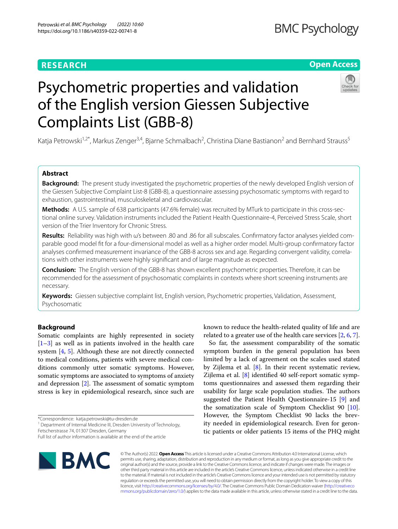# **RESEARCH**

# **Open Access**



# Psychometric properties and validation of the English version Giessen Subjective Complaints List (GBB-8)

Katja Petrowski<sup>1,2\*</sup>, Markus Zenger<sup>3,4</sup>, Bjarne Schmalbach<sup>2</sup>, Christina Diane Bastianon<sup>2</sup> and Bernhard Strauss<sup>5</sup>

## **Abstract**

**Background:** The present study investigated the psychometric properties of the newly developed English version of the Giessen Subjective Complaint List-8 (GBB-8), a questionnaire assessing psychosomatic symptoms with regard to exhaustion, gastrointestinal, musculoskeletal and cardiovascular.

**Methods:** A U.S. sample of 638 participants (47.6% female) was recruited by MTurk to participate in this cross-sectional online survey. Validation instruments included the Patient Health Questionnaire-4, Perceived Stress Scale, short version of the Trier Inventory for Chronic Stress.

**Results:** Reliability was high with ω's between .80 and .86 for all subscales. Confrmatory factor analyses yielded comparable good model ft for a four-dimensional model as well as a higher order model. Multi-group confrmatory factor analyses confrmed measurement invariance of the GBB-8 across sex and age. Regarding convergent validity, correlations with other instruments were highly signifcant and of large magnitude as expected.

**Conclusion:** The English version of the GBB-8 has shown excellent psychometric properties. Therefore, it can be recommended for the assessment of psychosomatic complaints in contexts where short screening instruments are necessary.

**Keywords:** Giessen subjective complaint list, English version, Psychometric properties, Validation, Assessment, Psychosomatic

## **Background**

Somatic complaints are highly represented in society  $[1-3]$  $[1-3]$  as well as in patients involved in the health care system [\[4,](#page-7-2) [5](#page-7-3)]. Although these are not directly connected to medical conditions, patients with severe medical conditions commonly utter somatic symptoms. However, somatic symptoms are associated to symptoms of anxiety and depression  $[2]$  $[2]$ . The assessment of somatic symptom stress is key in epidemiological research, since such are

<sup>1</sup> Department of Internal Medicine III, Dresden University of Technology,

Full list of author information is available at the end of the article



known to reduce the health-related quality of life and are related to a greater use of the health care services [[2](#page-7-4), [6,](#page-7-5) [7](#page-7-6)].

So far, the assessment comparability of the somatic symptom burden in the general population has been limited by a lack of agreement on the scales used stated by Zijlema et al.  $[8]$  $[8]$ . In their recent systematic review, Zijlema et al. [[8](#page-7-7)] identifed 40 self-report somatic symptoms questionnaires and assessed them regarding their usability for large scale population studies. The authors suggested the Patient Health Questionnaire-15 [[9\]](#page-7-8) and the somatization scale of Symptom Checklist 90 [\[10](#page-7-9)]. However, the Symptom Checklist 90 lacks the brevity needed in epidemiological research. Even for gerontic patients or older patients 15 items of the PHQ might

© The Author(s) 2022. **Open Access** This article is licensed under a Creative Commons Attribution 4.0 International License, which permits use, sharing, adaptation, distribution and reproduction in any medium or format, as long as you give appropriate credit to the original author(s) and the source, provide a link to the Creative Commons licence, and indicate if changes were made. The images or other third party material in this article are included in the article's Creative Commons licence, unless indicated otherwise in a credit line to the material. If material is not included in the article's Creative Commons licence and your intended use is not permitted by statutory regulation or exceeds the permitted use, you will need to obtain permission directly from the copyright holder. To view a copy of this licence, visit [http://creativecommons.org/licenses/by/4.0/.](http://creativecommons.org/licenses/by/4.0/) The Creative Commons Public Domain Dedication waiver ([http://creativeco](http://creativecommons.org/publicdomain/zero/1.0/) [mmons.org/publicdomain/zero/1.0/](http://creativecommons.org/publicdomain/zero/1.0/)) applies to the data made available in this article, unless otherwise stated in a credit line to the data.

<sup>\*</sup>Correspondence: katja.petrowski@tu-dresden.de

Fetscherstrasse 74, 01307 Dresden, Germany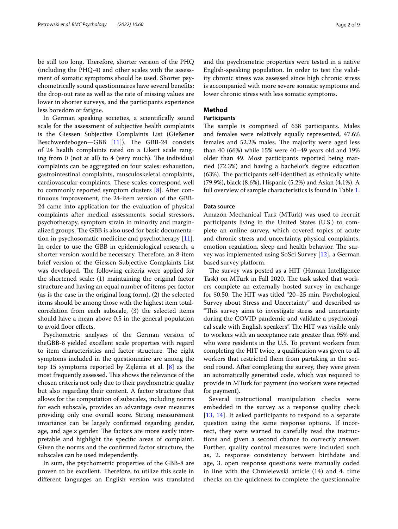be still too long. Therefore, shorter version of the PHQ (including the PHQ-4) and other scales with the assessment of somatic symptoms should be used. Shorter psychometrically sound questionnaires have several benefts: the drop-out rate as well as the rate of missing values are lower in shorter surveys, and the participants experience less boredom or fatigue.

In German speaking societies, a scientifcally sound scale for the assessment of subjective health complaints is the Giessen Subjective Complaints List (Gießener Beschwerdebogen—GBB [\[11](#page-7-10)]). The GBB-24 consists of 24 health complaints rated on a Likert scale ranging from  $0$  (not at all) to  $4$  (very much). The individual complaints can be aggregated on four scales: exhaustion, gastrointestinal complaints, musculoskeletal complaints, cardiovascular complaints. These scales correspond well to commonly reported symptom clusters [[8\]](#page-7-7). After continuous improvement, the 24-item version of the GBB-24 came into application for the evaluation of physical complaints after medical assessments, social stressors, psychotherapy, symptom strain in minority and marginalized groups. The GBB is also used for basic documentation in psychosomatic medicine and psychotherapy [\[11](#page-7-10)]. In order to use the GBB in epidemiological research, a shorter version would be necessary. Therefore, an 8-item brief version of the Giessen Subjective Complaints List was developed. The following criteria were applied for the shortened scale: (1) maintaining the original factor structure and having an equal number of items per factor (as is the case in the original long form), (2) the selected items should be among those with the highest item totalcorrelation from each subscale, (3) the selected items should have a mean above 0.5 in the general population to avoid floor effects.

Psychometric analyses of the German version of theGBB-8 yielded excellent scale properties with regard to item characteristics and factor structure. The eight symptoms included in the questionnaire are among the top 15 symptoms reported by Zijlema et al. [[8\]](#page-7-7) as the most frequently assessed. This shows the relevance of the chosen criteria not only due to their psychometric quality but also regarding their content. A factor structure that allows for the computation of subscales, including norms for each subscale, provides an advantage over measures providing only one overall score. Strong measurement invariance can be largely confrmed regarding gender, age, and age  $\times$  gender. The factors are more easily interpretable and highlight the specifc areas of complaint. Given the norms and the confrmed factor structure, the subscales can be used independently.

In sum, the psychometric properties of the GBB-8 are proven to be excellent. Therefore, to utilize this scale in diferent languages an English version was translated and the psychometric properties were tested in a native English-speaking population. In order to test the validity chronic stress was assessed since high chronic stress is accompanied with more severe somatic symptoms and lower chronic stress with less somatic symptoms.

## **Method**

## **Participants**

The sample is comprised of 638 participants. Males and females were relatively equally represented, 47.6% females and 52.2% males. The majority were aged less than 40 (66%) while 15% were 40–49 years old and 19% older than 49. Most participants reported being married (72.3%) and having a bachelor's degree education  $(63%)$ . The participants self-identified as ethnically white (79.9%), black (8.6%), Hispanic (5.2%) and Asian (4.1%). A full overview of sample characteristics is found in Table [1](#page-2-0).

## **Data source**

Amazon Mechanical Turk (MTurk) was used to recruit participants living in the United States (U.S.) to complete an online survey, which covered topics of acute and chronic stress and uncertainty, physical complaints, emotion regulation, sleep and health behavior. The survey was implemented using SoSci Survey [[12](#page-7-11)], a German based survey platform.

The survey was posted as a HIT (Human Intelligence Task) on MTurk in Fall 2020. The task asked that workers complete an externally hosted survey in exchange for \$0.50. The HIT was titled "20-25 min. Psychological Survey about Stress and Uncertainty" and described as "This survey aims to investigate stress and uncertainty during the COVID pandemic and validate a psychological scale with English speakers". The HIT was visible only to workers with an acceptance rate greater than 95% and who were residents in the U.S. To prevent workers from completing the HIT twice, a qualifcation was given to all workers that restricted them from partaking in the second round. After completing the survey, they were given an automatically generated code, which was required to provide in MTurk for payment (no workers were rejected for payment).

Several instructional manipulation checks were embedded in the survey as a response quality check [[13](#page-7-12), [14](#page-7-13)]. It asked participants to respond to a separate question using the same response options. If incorrect, they were warned to carefully read the instructions and given a second chance to correctly answer. Further, quality control measures were included such as, 2. response consistency between birthdate and age, 3. open response questions were manually coded in line with the Chmielewski article (14) and 4. time checks on the quickness to complete the questionnaire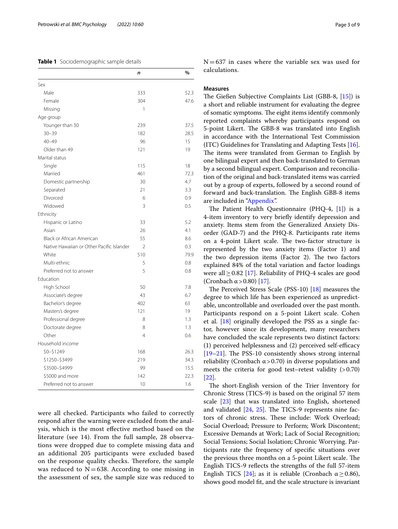### <span id="page-2-0"></span>**Table 1** Sociodemographic sample details

|                                           | n              | %    |
|-------------------------------------------|----------------|------|
| Sex                                       |                |      |
| Male                                      | 333            | 52.3 |
| Female                                    | 304            | 47.6 |
| Missing                                   | 1              |      |
| Age group                                 |                |      |
| Younger than 30                           | 239            | 37.5 |
| $30 - 39$                                 | 182            | 28.5 |
| $40 - 49$                                 | 96             | 15   |
| Older than 49                             | 121            | 19   |
| Marital status                            |                |      |
| Single                                    | 115            | 18   |
| Married                                   | 461            | 72.3 |
| Domestic partnership                      | 30             | 4.7  |
| Separated                                 | 21             | 3.3  |
| Divorced                                  | 6              | 0.9  |
| Widowed                                   | 3              | 0.5  |
| Ethnicity                                 |                |      |
| Hispanic or Latino                        | 33             | 5.2  |
| Asian                                     | 26             | 4.1  |
| Black or African American                 | 55             | 8.6  |
| Native Hawaiian or Other Pacific Islander | $\mathfrak{D}$ | 0.3  |
| White                                     | 510            | 79.9 |
| Multi-ethnic                              | 5              | 0.8  |
| Preferred not to answer                   | 5              | 0.8  |
| Education                                 |                |      |
| High School                               | 50             | 7.8  |
| Associate's degree                        | 43             | 6.7  |
| Bachelor's degree                         | 402            | 63   |
| Masters's degree                          | 121            | 19   |
| Professional degree                       | 8              | 1.3  |
| Doctorate degree                          | 8              | 1.3  |
| Other                                     | 4              | 0.6  |
| Household income                          |                |      |
| $$0 - $1249$                              | 168            | 26.3 |
| \$1250-\$3499                             | 219            | 34.3 |
| \$3500-\$4999                             | 99             | 15.5 |
| \$5000 and more                           | 142            | 22.3 |
| Preferred not to answer                   | 10             | 1.6  |

were all checked. Participants who failed to correctly respond after the warning were excluded from the analysis, which is the most efective method based on the literature (see 14). From the full sample, 28 observations were dropped due to complete missing data and an additional 205 participants were excluded based on the response quality checks. Therefore, the sample was reduced to  $N=638$ . According to one missing in the assessment of sex, the sample size was reduced to  $N=637$  in cases where the variable sex was used for calculations.

## **Measures**

The Gießen Subjective Complaints List (GBB-8,  $[15]$  $[15]$ ) is a short and reliable instrument for evaluating the degree of somatic symptoms. The eight items identify commonly reported complaints whereby participants respond on 5-point Likert. The GBB-8 was translated into English in accordance with the International Test Commission (ITC) Guidelines for Translating and Adapting Tests [\[16](#page-7-15)]. The items were translated from German to English by one bilingual expert and then back-translated to German by a second bilingual expert. Comparison and reconciliation of the original and back-translated items was carried out by a group of experts, followed by a second round of forward and back-translation. The English GBB-8 items are included in ["Appendix"](#page-6-0).

The Patient Health Questionnaire (PHQ-4,  $[1]$  $[1]$ ) is a 4-item inventory to very briefy identify depression and anxiety. Items stem from the Generalized Anxiety Disorder (GAD-7) and the PHQ-8. Participants rate items on a 4-point Likert scale. The two-factor structure is represented by the two anxiety items (Factor 1) and the two depression items (Factor 2). The two factors explained 84% of the total variation and factor loadings were all≥0.82 [[17\]](#page-7-16). Reliability of PHQ-4 scales are good (Cronbach  $\alpha$  > 0.80) [[17](#page-7-16)].

The Perceived Stress Scale (PSS-10)  $[18]$  $[18]$  $[18]$  measures the degree to which life has been experienced as unpredictable, uncontrollable and overloaded over the past month. Participants respond on a 5-point Likert scale. Cohen et al. [[18\]](#page-7-17) originally developed the PSS as a single factor, however since its development, many researchers have concluded the scale represents two distinct factors: (1) perceived helplessness and  $(2)$  perceived self-efficacy  $[19–21]$  $[19–21]$  $[19–21]$ . The PSS-10 consistently shows strong internal reliability (Cronbach  $\alpha$  > 0.70) in diverse populations and meets the criteria for good test–retest validity  $(>0.70)$ [[22\]](#page-7-20).

The short-English version of the Trier Inventory for Chronic Stress (TICS-9) is based on the original 57 item scale [[23\]](#page-7-21) that was translated into English, shortened and validated  $[24, 25]$  $[24, 25]$  $[24, 25]$  $[24, 25]$ . The TICS-9 represents nine factors of chronic stress. These include: Work Overload; Social Overload; Pressure to Perform; Work Discontent; Excessive Demands at Work; Lack of Social Recognition; Social Tensions; Social Isolation; Chronic Worrying. Participants rate the frequency of specifc situations over the previous three months on a 5-point Likert scale. The English TICS-9 refects the strengths of the full 57-item English TICS [[24\]](#page-7-22); as it is reliable (Cronbach  $\alpha \ge 0.86$ ), shows good model ft, and the scale structure is invariant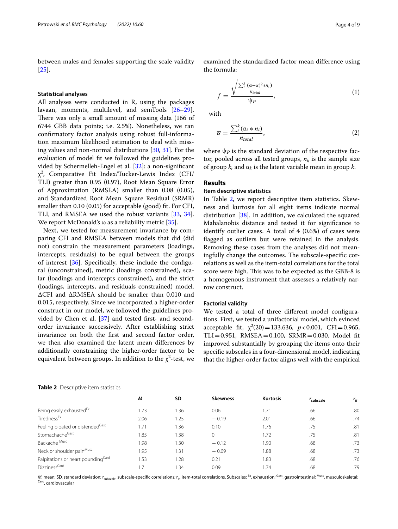between males and females supporting the scale validity [[25\]](#page-7-23).

## **Statistical analyses**

All analyses were conducted in R, using the packages lavaan, moments, multilevel, and semTools [[26](#page-7-24)[–29](#page-7-25)]. There was only a small amount of missing data (166 of 6744 GBB data points; i.e. 2.5%). Nonetheless, we ran confrmatory factor analysis using robust full-information maximum likelihood estimation to deal with missing values and non-normal distributions [\[30](#page-7-26), [31\]](#page-7-27). For the evaluation of model ft we followed the guidelines provided by Schermelleh-Engel et al. [\[32](#page-7-28)]: a non-signifcant  $\chi^2$ , Comparative Fit Index/Tucker-Lewis Index (CFI/ TLI) greater than 0.95 (0.97), Root Mean Square Error of Approximation (RMSEA) smaller than 0.08 (0.05), and Standardized Root Mean Square Residual (SRMR) smaller than 0.10 (0.05) for acceptable (good) ft. For CFI, TLI, and RMSEA we used the robust variants [\[33](#page-7-29), [34](#page-7-30)]. We report McDonald's  $\omega$  as a reliability metric [\[35](#page-7-31)].

Next, we tested for measurement invariance by comparing CFI and RMSEA between models that did (did not) constrain the measurement parameters (loadings, intercepts, residuals) to be equal between the groups of interest  $[36]$  $[36]$ . Specifically, these include the configural (unconstrained), metric (loadings constrained), scalar (loadings and intercepts constrained), and the strict (loadings, intercepts, and residuals constrained) model. ΔCFI and ΔRMSEA should be smaller than 0.010 and 0.015, respectively. Since we incorporated a higher-order construct in our model, we followed the guidelines pro-vided by Chen et al. [[37\]](#page-8-1) and tested first- and secondorder invariance successively. After establishing strict invariance on both the frst and second factor order, we then also examined the latent mean diferences by additionally constraining the higher-order factor to be equivalent between groups. In addition to the  $\chi^2$ -test, we

<span id="page-3-0"></span>**Table 2** Descriptive item statistics

examined the standardized factor mean diference using the formula:

$$
f = \frac{\sqrt{\frac{\sum_{i}^{k} (\alpha - \overline{\alpha})^2 * n_i}{n_{total}}}}{\psi_P},
$$
 (1)

with

$$
\overline{\alpha} = \frac{\sum_{i}^{k} (\alpha_{i} * n_{i})}{n_{total}},
$$
\n(2)

where  $\psi_p$  is the standard deviation of the respective factor, pooled across all tested groups,  $n_k$  is the sample size of group *k*, and  $\alpha_k$  is the latent variable mean in group *k*.

## **Results**

## **Item descriptive statistics**

In Table [2,](#page-3-0) we report descriptive item statistics. Skewness and kurtosis for all eight items indicate normal distribution  $[38]$  $[38]$ . In addition, we calculated the squared Mahalanobis distance and tested it for signifcance to identify outlier cases. A total of 4 (0.6%) of cases were flagged as outliers but were retained in the analysis. Removing these cases from the analyses did not meaningfully change the outcomes. The subscale-specific correlations as well as the item-total correlations for the total score were high. This was to be expected as the GBB-8 is a homogenous instrument that assesses a relatively narrow construct.

## **Factorial validity**

We tested a total of three different model configurations. First, we tested a unifactorial model, which evinced acceptable fit,  $\chi^2(20) = 133.636$ ,  $p < 0.001$ , CFI = 0.965, TLI=0.951, RMSEA=0.100, SRMR=0.030. Model ft improved substantially by grouping the items onto their specifc subscales in a four-dimensional model, indicating that the higher-order factor aligns well with the empirical

|                                                | М    | <b>SD</b> | <b>Skewness</b> | <b>Kurtosis</b> | <i>r</i> <sub>subscale</sub> | $r_{it}$ |
|------------------------------------------------|------|-----------|-----------------|-----------------|------------------------------|----------|
| Being easily exhausted <sup>Ex</sup>           | .73  | 1.36      | 0.06            | 1.71            | .66                          | .80      |
| Tiredness <sup>Ex</sup>                        | 2.06 | 1.25      | $-0.19$         | 2.01            | .66                          | .74      |
| Feeling bloated or distended <sup>Gast</sup>   | 1.71 | 1.36      | 0.10            | 1.76            | .75                          | .81      |
| Stomachache <sup>Gast</sup>                    | 1.85 | 1.38      | $\mathbf{0}$    | 1.72            | .75                          | .81      |
| Backache Musc                                  | 1.98 | 1.30      | $-0.12$         | 1.90            | .68                          | .73      |
| Neck or shoulder painMusc                      | 1.95 | 1.31      | $-0.09$         | 1.88            | .68                          | .73      |
| Palpitations or heart pounding <sup>Card</sup> | .53  | 1.28      | 0.21            | 1.83            | .68                          | .76      |
| Dizziness <sup>Card</sup>                      | 7. ا | 1.34      | 0.09            | 1.74            | .68                          | .79      |

*M*, mean; SD, standard deviation; r<sub>subscale</sub>, subscale-specific correlations; r<sub>it</sub>, item-total correlations. Subscales: <sup>Ex</sup>, exhaustion; <sup>Gast</sup>, gastrointestinal; <sup>Musc</sup>, musculoskeletal;<br><sup>Card</sup>, cardiovascular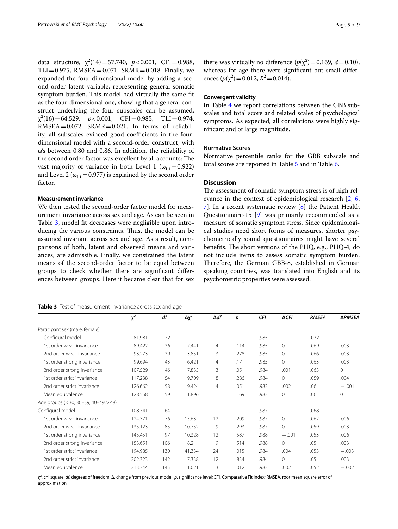data structure,  $\chi^2(14) = 57.740$ ,  $p < 0.001$ , CFI=0.988,  $TLI = 0.975$ , RMSEA = 0.071, SRMR = 0.018. Finally, we expanded the four-dimensional model by adding a second-order latent variable, representing general somatic symptom burden. This model had virtually the same fit as the four-dimensional one, showing that a general construct underlying the four subscales can be assumed,  $\chi^2(16) = 64.529$ ,  $p < 0.001$ , CFI=0.985, TLI=0.974, RMSEA=0.072, SRMR=0.021. In terms of reliability, all subscales evinced good coefficients in the fourdimensional model with a second-order construct, with ω's between 0.80 and 0.86. In addition, the reliability of the second order factor was excellent by all accounts: The vast majority of variance in both Level 1 ( $\omega_{11}=0.922$ ) and Level 2 ( $\omega_{L1}$  = 0.977) is explained by the second order factor.

## **Measurement invariance**

We then tested the second-order factor model for measurement invariance across sex and age. As can be seen in Table [3](#page-4-0), model ft decreases were negligible upon introducing the various constraints. Thus, the model can be assumed invariant across sex and age. As a result, comparisons of both, latent and observed means and variances, are admissible. Finally, we constrained the latent means of the second-order factor to be equal between groups to check whether there are signifcant diferences between groups. Here it became clear that for sex

| Page 5 of 9 |  |  |  |
|-------------|--|--|--|
|-------------|--|--|--|

there was virtually no difference  $(p(\chi^2) = 0.169, d = 0.10)$ , whereas for age there were signifcant but small diferences  $(p(\chi^2) = 0.012, R^2 = 0.014)$ .

## **Convergent validity**

In Table [4](#page-5-0) we report correlations between the GBB subscales and total score and related scales of psychological symptoms. As expected, all correlations were highly signifcant and of large magnitude.

## **Normative Scores**

Normative percentile ranks for the GBB subscale and total scores are reported in Table [5](#page-5-1) and in Table [6.](#page-5-2)

## **Discussion**

The assessment of somatic symptom stress is of high relevance in the context of epidemiological research [[2,](#page-7-4) [6](#page-7-5), [7\]](#page-7-6). In a recent systematic review [[8\]](#page-7-7) the Patient Health Questionnaire-15 [\[9](#page-7-8)] was primarily recommended as a measure of somatic symptom stress. Since epidemiological studies need short forms of measures, shorter psychometrically sound questionnaires might have several benefits. The short versions of the PHQ, e.g., PHQ-4, do not include items to assess somatic symptom burden. Therefore, the German GBB-8, established in German speaking countries, was translated into English and its psychometric properties were assessed.

<span id="page-4-0"></span>

| Table 3 Test of measurement invariance across sex and age |  |
|-----------------------------------------------------------|--|
|-----------------------------------------------------------|--|

|                                       | $x^2$   | df  | $\Delta \chi^2$ | $\Delta df$    | p    | CFI  | <b>ΔCFI</b> | <b>RMSEA</b> | <b>ARMSEA</b> |
|---------------------------------------|---------|-----|-----------------|----------------|------|------|-------------|--------------|---------------|
| Participant sex (male, female)        |         |     |                 |                |      |      |             |              |               |
| Configural model                      | 81.981  | 32  |                 |                |      | .985 |             | .072         |               |
| 1st order weak invariance             | 89.422  | 36  | 7.441           | 4              | .114 | .985 | $\circ$     | .069         | .003          |
| 2nd order weak invariance             | 93.273  | 39  | 3.851           | 3              | .278 | .985 | 0           | .066         | .003          |
| 1st order strong invariance           | 99.694  | 43  | 6.421           | $\overline{4}$ | .17  | .985 | 0           | .063         | .003          |
| 2nd order strong invariance           | 107.529 | 46  | 7.835           | 3              | .05  | .984 | .001        | .063         | 0             |
| 1st order strict invariance           | 117.238 | 54  | 9.709           | 8              | .286 | .984 | $\Omega$    | .059         | .004          |
| 2nd order strict invariance           | 126.662 | 58  | 9.424           | $\overline{4}$ | .051 | .982 | .002        | .06          | $-.001$       |
| Mean equivalence                      | 128.558 | 59  | 1.896           | 1              | .169 | .982 | $\Omega$    | .06          | $\mathbf{0}$  |
| Age groups (< 30, 30-39, 40-49, > 49) |         |     |                 |                |      |      |             |              |               |
| Configural model                      | 108.741 | 64  |                 |                |      | .987 |             | .068         |               |
| 1st order weak invariance             | 124.371 | 76  | 15.63           | 12             | .209 | .987 | $\Omega$    | .062         | .006          |
| 2nd order weak invariance             | 135.123 | 85  | 10.752          | 9              | .293 | .987 | $\circ$     | .059         | .003          |
| 1st order strong invariance           | 145.451 | 97  | 10.328          | 12             | .587 | .988 | $-.001$     | .053         | .006          |
| 2nd order strong invariance           | 153.651 | 106 | 8.2             | 9              | .514 | .988 | 0           | .05          | .003          |
| 1st order strict invariance           | 194.985 | 130 | 41.334          | 24             | .015 | .984 | .004        | .053         | $-.003$       |
| 2nd order strict invariance           | 202.323 | 142 | 7.338           | 12             | .834 | .984 | $\Omega$    | .05          | .003          |
| Mean equivalence                      | 213.344 | 145 | 11.021          | 3              | .012 | .982 | .002        | .052         | $-.002$       |

χ2 , chi square; *df*, degrees of freedom; Δ, change from previous model; *p*, signifcance level; CFI, Comparative Fit Index; RMSEA, root mean square error of approximation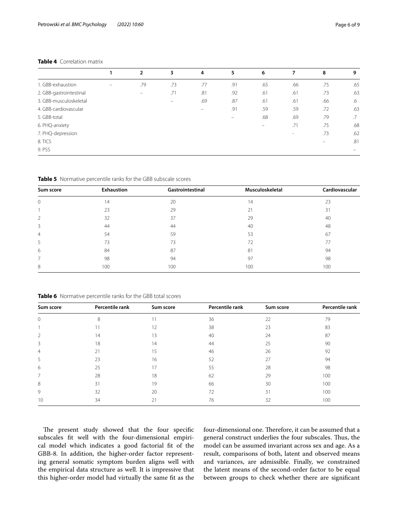## <span id="page-5-0"></span>**Table 4** Correlation matrix

|     | 3              |                          |                |                          | 7      |     | 9               |
|-----|----------------|--------------------------|----------------|--------------------------|--------|-----|-----------------|
|     |                |                          |                |                          |        |     |                 |
| .79 | .73            | .77                      | .91            | .65                      | .66    | .75 | .65             |
|     | .71            | .81                      | .92            | .61                      | .61    | .73 | .63             |
|     | -              | .69                      | .87            | .61                      | .61    | .66 | .6              |
|     |                | $\overline{\phantom{0}}$ | .91            | .59                      | .59    | .72 | .63             |
|     |                |                          |                | .68                      | .69    | .79 | $.7\phantom{0}$ |
|     |                |                          |                | $\overline{\phantom{m}}$ | .71    | .75 | .68             |
|     |                |                          |                |                          | $\sim$ | .73 | .62             |
|     |                |                          |                |                          |        | -   | .81             |
|     |                |                          |                |                          |        |     |                 |
|     | $\overline{2}$ |                          | $\overline{4}$ | 5                        | 6      |     | 8               |

<span id="page-5-1"></span>**Table 5** Normative percentile ranks for the GBB subscale scores

| Sum score      | Exhaustion | Gastrointestinal | Musculoskeletal | Cardiovascular |
|----------------|------------|------------------|-----------------|----------------|
| $\mathbf{0}$   | 14         | 20               | 14              | 23             |
|                | 23         | 29               | 21              | 31             |
| $\overline{2}$ | 32         | 37               | 29              | 40             |
| 3              | 44         | 44               | 40              | 48             |
| $\overline{4}$ | 54         | 59               | 53              | 67             |
| 5              | 73         | 73               | 72              | 77             |
| 6              | 84         | 87               | 81              | 94             |
| 7              | 98         | 94               | 97              | 98             |
| 8              | 100        | 100              | 100             | 100            |

<span id="page-5-2"></span>**Table 6** Normative percentile ranks for the GBB total scores

| Sum score      | Percentile rank | Sum score | Percentile rank | Sum score | Percentile rank |
|----------------|-----------------|-----------|-----------------|-----------|-----------------|
| $\mathbf{0}$   | 8               | 11        | 36              | 22        | 79              |
|                | 11              | 12        | 38              | 23        | 83              |
| 2              | 14              | 13        | 40              | 24        | 87              |
| 3              | 18              | 14        | 44              | 25        | 90              |
| $\overline{4}$ | 21              | 15        | 46              | 26        | 92              |
| 5              | 23              | 16        | 52              | 27        | 94              |
| 6              | 25              | 17        | 55              | 28        | 98              |
| $\overline{7}$ | 28              | 18        | 62              | 29        | 100             |
| 8              | 31              | 19        | 66              | 30        | 100             |
| 9              | 32              | 20        | 72              | 31        | 100             |
| 10             | 34              | 21        | 76              | 32        | 100             |

The present study showed that the four specific subscales ft well with the four-dimensional empirical model which indicates a good factorial ft of the GBB-8. In addition, the higher-order factor representing general somatic symptom burden aligns well with the empirical data structure as well. It is impressive that this higher-order model had virtually the same ft as the four-dimensional one. Therefore, it can be assumed that a general construct underlies the four subscales. Thus, the model can be assumed invariant across sex and age. As a result, comparisons of both, latent and observed means and variances, are admissible. Finally, we constrained the latent means of the second-order factor to be equal between groups to check whether there are signifcant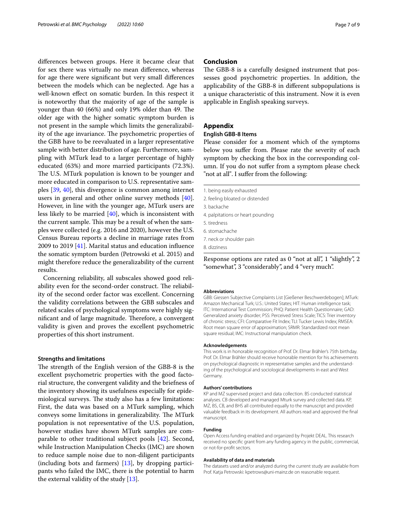diferences between groups. Here it became clear that for sex there was virtually no mean diference, whereas for age there were signifcant but very small diferences between the models which can be neglected. Age has a well-known efect on somatic burden. In this respect it is noteworthy that the majority of age of the sample is younger than 40 (66%) and only 19% older than 49. The older age with the higher somatic symptom burden is not present in the sample which limits the generalizability of the age invariance. The psychometric properties of the GBB have to be reevaluated in a larger representative sample with better distribution of age. Furthermore, sampling with MTurk lead to a larger percentage of highly educated (63%) and more married participants (72.3%). The U.S. MTurk population is known to be younger and more educated in comparison to U.S. representative samples [\[39,](#page-8-3) [40](#page-8-4)], this divergence is common among internet users in general and other online survey methods [\[40](#page-8-4)]. However, in line with the younger age, MTurk users are less likely to be married [\[40](#page-8-4)], which is inconsistent with the current sample. This may be a result of when the samples were collected (e.g. 2016 and 2020), however the U.S. Census Bureau reports a decline in marriage rates from 2009 to 2019 [\[41\]](#page-8-5). Marital status and education infuence the somatic symptom burden (Petrowski et al. 2015) and might therefore reduce the generalizability of the current results.

Concerning reliability, all subscales showed good reliability even for the second-order construct. The reliability of the second order factor was excellent. Concerning the validity correlations between the GBB subscales and related scales of psychological symptoms were highly significant and of large magnitude. Therefore, a convergent validity is given and proves the excellent psychometric properties of this short instrument.

#### **Strengths and limitations**

The strength of the English version of the GBB-8 is the excellent psychometric properties with the good factorial structure, the convergent validity and the briefness of the inventory showing its usefulness especially for epidemiological surveys. The study also has a few limitations: First, the data was based on a MTurk sampling, which conveys some limitations in generalizability. The MTurk population is not representative of the U.S. population, however studies have shown MTurk samples are comparable to other traditional subject pools [[42\]](#page-8-6). Second, while Instruction Manipulation Checks (IMC) are shown to reduce sample noise due to non-diligent participants (including bots and farmers) [[13](#page-7-12)], by dropping participants who failed the IMC, there is the potential to harm the external validity of the study [[13\]](#page-7-12).

## **Conclusion**

The GBB-8 is a carefully designed instrument that possesses good psychometric properties. In addition, the applicability of the GBB-8 in diferent subpopulations is a unique characteristic of this instrument. Now it is even applicable in English speaking surveys.

## **Appendix**

## <span id="page-6-0"></span>**English GBB‑8 Items**

Please consider for a moment which of the symptoms below you sufer from. Please rate the severity of each symptom by checking the box in the corresponding column. If you do not sufer from a symptom please check "not at all". I sufer from the following:

- 1. being easily exhausted
- 2. feeling bloated or distended
- 3. backache
- 4. palpitations or heart pounding
- 5. tiredness
- 6. stomachache
- 7. neck or shoulder pain

8. dizziness

Response options are rated as 0 "not at all", 1 "slightly", 2 "somewhat", 3 "considerably", and 4 "very much".

#### **Abbreviations**

GBB: Giessen Subjective Complaints List [Gießener Beschwerdebogen]; MTurk: Amazon Mechanical Turk; U.S.: United States; HIT: Human intelligence task; ITC: International Test Commission; PHQ: Patient Health Questionnaire; GAD: Generalized anxiety disorder; PSS: Perceived Stress Scale; TICS: Trier inventory of chronic stress; CFI: Comparative Fit Index; TLI: Tucker Lewis Index; RMSEA: Root mean square error of approximation; SRMR: Standardized root mean square residual; IMC: Instructional manipulation check.

#### **Acknowledgements**

This work is in honorable recognition of Prof. Dr. Elmar Brähler's 75th birthday. Prof. Dr. Elmar Brähler should receive honorable mention for his achievements on psychological diagnostic in representative samples and the understanding of the psychological and sociological developments in east and West Germany.

#### **Authors' contributions**

KP and MZ supervised project and data collection. BS conducted statistical analyses. CB developed and managed Mturk survey and collected data. KP, MZ, BS, CB, and BHS all contributed equally to the manuscript and provided valuable feedback in its development. All authors read and approved the fnal manuscript.

## **Funding**

Open Access funding enabled and organized by Projekt DEAL. This research received no specifc grant from any funding agency in the public, commercial, or not-for-proft sectors.

#### **Availability of data and materials**

The datasets used and/or analyzed during the current study are available from Prof. Katja Petrowski: kpetrows@uni-mainz.de on reasonable request.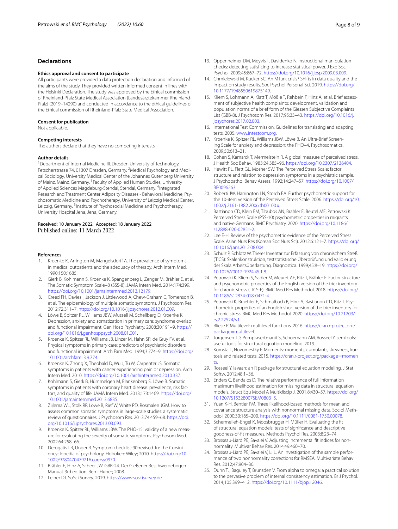## **Declarations**

#### **Ethics approval and consent to participate**

All participants were provided a data protection declaration and informed of the aims of the study. They provided written informed consent in lines with the Helsinki Declaration. The study was approved by the Ethical commission of Rheinland-Pfalz State Medical Association [Landesärztekammer Rheinland-Pfalz] (2019–14290) and conducted in accordance to the ethical guidelines of the Ethical commission of Rheinland-Pfalz State Medical Association.

#### **Consent for publication**

Not applicable.

#### **Competing interests**

The authors declare that they have no competing interests.

#### **Author details**

<sup>1</sup> Department of Internal Medicine III, Dresden University of Technology, Fetscherstrasse 74, 01307 Dresden, Germany. <sup>2</sup>Medical Psychology and Medical Sociology, University Medical Center of the Johannes Gutenberg University of Mainz, Mainz, Germany. <sup>3</sup> Faculty of Applied Human Studies, University of Applied Sciences Magdeburg-Stendal, Stendal, Germany. <sup>4</sup>Integrated Research and Treatment Center Adiposity Diseases - Behavioral Medicine, Psychosomatic Medicine and Psychotherapy, University of Leipzig Medical Center, Leipzig, Germany. <sup>5</sup>Institute of Psychosocial Medicine and Psychotherapy, University Hospital Jena, Jena, Germany.

## Received: 10 January 2022 Accepted: 18 January 2022 Published online: 11 March 2022

#### **References**

- <span id="page-7-0"></span>1. Kroenke K, Arrington M, Mangelsdorff A. The prevalence of symptoms in medical outpatients and the adequacy of therapy. Arch Intern Med. 1990;150:1685.
- <span id="page-7-4"></span>2. Gierk B, Kohlmann S, Kroenke K, Spangenberg L, Zenger M, Brähler E, et al. The Somatic Symptom Scale–8 (SSS-8). JAMA Intern Med. 2014;174:399. <https://doi.org/10.1001/jamainternmed.2013.12179>.
- <span id="page-7-1"></span>3. Creed FH, Davies I, Jackson J, Littlewood A, Chew-Graham C, Tomenson B, et al. The epidemiology of multiple somatic symptoms. J Psychosom Res. 2012;72:311–7. [https://doi.org/10.1016/j.jpsychores.2012.01.009.](https://doi.org/10.1016/j.jpsychores.2012.01.009)
- <span id="page-7-2"></span>4. Löwe B, Spitzer RL, Williams JBW, Mussell M, Schellberg D, Kroenke K. Depression, anxiety and somatization in primary care: syndrome overlap and functional impairment. Gen Hosp Psychiatry. 2008;30:191–9. [https://](https://doi.org/10.1016/j.genhosppsych.2008.01.001) [doi.org/10.1016/j.genhosppsych.2008.01.001](https://doi.org/10.1016/j.genhosppsych.2008.01.001).
- <span id="page-7-3"></span>5. Kroenke K, Spitzer RL, Williams JB, Linzer M, Hahn SR, de Gruy FV, et al. Physical symptoms in primary care: predictors of psychiatric disorders and functional impairment. Arch Fam Med. 1994;3:774–9. [https://doi.org/](https://doi.org/10.1001/archfami.3.9.774) [10.1001/archfami.3.9.774.](https://doi.org/10.1001/archfami.3.9.774)
- <span id="page-7-5"></span>6. Kroenke K, Zhong X, Theobald D, Wu J, Tu W, Carpenter JS. Somatic symptoms in patients with cancer experiencing pain or depression. Arch Intern Med. 2010. [https://doi.org/10.1001/archinternmed.2010.337.](https://doi.org/10.1001/archinternmed.2010.337)
- <span id="page-7-6"></span>7. Kohlmann S, Gierk B, Hümmelgen M, Blankenberg S, Löwe B. Somatic symptoms in patients with coronary heart disease: prevalence, risk factors, and quality of life. JAMA Intern Med. 2013;173:1469. [https://doi.org/](https://doi.org/10.1001/jamainternmed.2013.6835) [10.1001/jamainternmed.2013.6835.](https://doi.org/10.1001/jamainternmed.2013.6835)
- <span id="page-7-7"></span>8. Zijlema WL, Stolk RP, Löwe B, Rief W, White PD, Rosmalen JGM. How to assess common somatic symptoms in large-scale studies: a systematic review of questionnaires. J Psychosom Res. 2013;74:459–68. [https://doi.](https://doi.org/10.1016/j.jpsychores.2013.03.093) [org/10.1016/j.jpsychores.2013.03.093.](https://doi.org/10.1016/j.jpsychores.2013.03.093)
- <span id="page-7-8"></span>9. Kroenke K, Spitzer RL, Williams JBW. The PHQ-15: validity of a new measure for evaluating the severity of somatic symptoms. Psychosom Med. 2002;64:258–66.
- <span id="page-7-9"></span>10. Derogatis LR, Unger R. Symptom checklist-90-revised. In: The Corsini encyclopedia of psychology. Hoboken: Wiley; 2010. [https://doi.org/10.](https://doi.org/10.1002/9780470479216.corpsy0970) [1002/9780470479216.corpsy0970](https://doi.org/10.1002/9780470479216.corpsy0970).
- <span id="page-7-10"></span>11. Brähler E, Hinz A, Scheer JW. GBB-24. Der Gießener Beschwerdebogen Manual. 3rd edition. Bern: Huber; 2008.
- <span id="page-7-11"></span>12. Leiner DJ. SoSci Survey. 2019. <https://www.soscisurvey.de>.
- <span id="page-7-12"></span>13. Oppenheimer DM, Meyvis T, Davidenko N. Instructional manipulation checks: detecting satisfcing to increase statistical power. J Exp Soc Psychol. 2009;45:867–72. <https://doi.org/10.1016/j.jesp.2009.03.009>.
- <span id="page-7-13"></span>14. Chmielewski M, Kucker SC. An MTurk crisis? Shifts in data quality and the impact on study results. Soc Psychol Personal Sci. 2019. [https://doi.org/](https://doi.org/10.1177/1948550619875149) [10.1177/1948550619875149](https://doi.org/10.1177/1948550619875149).
- <span id="page-7-14"></span>15. Kliem S, Lohmann A, Klatt T, Mößle T, Rehbein F, Hinz A, et al. Brief assessment of subjective health complaints: development, validation and population norms of a brief form of the Giessen Subjective Complaints List (GBB-8). J Psychosom Res. 2017;95:33–43. [https://doi.org/10.1016/j.](https://doi.org/10.1016/j.jpsychores.2017.02.003) [jpsychores.2017.02.003](https://doi.org/10.1016/j.jpsychores.2017.02.003).
- <span id="page-7-15"></span>16. International Test Commission. Guidelines for translating and adapting tests. 2005. [www.intestcom.org.](http://www.intestcom.org)
- <span id="page-7-16"></span>17. Kroenke K, Spitzer RL, Williams JBW, Löwe B. An Ultra-Brief Screening Scale for anxiety and depression: the PHQ–4. Psychosomatics. 2009;50:613–21.
- <span id="page-7-17"></span>18. Cohen S, Kamarck T, Mermelstein R. A global measure of perceived stress. J Health Soc Behav. 1983;24:385–96. [https://doi.org/10.2307/2136404.](https://doi.org/10.2307/2136404)
- <span id="page-7-18"></span>19. Hewitt PL, Flett GL, Mosher SW. The Perceived Stress Scale: factor structure and relation to depression symptoms in a psychiatric sample. J Psychopathol Behav Assess. 1992;14:247–57. [https://doi.org/10.1007/](https://doi.org/10.1007/BF00962631) [BF00962631](https://doi.org/10.1007/BF00962631).
- 20. Roberti JW, Harrington LN, Storch EA. Further psychometric support for the 10-item version of the Perceived Stress Scale. 2006. [https://doi.org/10.](https://doi.org/10.1002/j.2161-1882.2006.tb00100.x) [1002/j.2161-1882.2006.tb00100.x.](https://doi.org/10.1002/j.2161-1882.2006.tb00100.x)
- <span id="page-7-19"></span>21. Bastianon CD, Klein EM, Tibubos AN, Brähler E, Beutel ME, Petrowski K. Perceived Stress Scale (PSS-10) psychometric properties in migrants and native Germans. BMC Psychiatry. 2020. [https://doi.org/10.1186/](https://doi.org/10.1186/s12888-020-02851-2) [s12888-020-02851-2](https://doi.org/10.1186/s12888-020-02851-2).
- <span id="page-7-20"></span>22. Lee E-H. Review of the psychometric evidence of the Perceived Stress Scale. Asian Nurs Res (Korean Soc Nurs Sci). 2012;6:121–7. [https://doi.org/](https://doi.org/10.1016/j.anr.2012.08.004) [10.1016/j.anr.2012.08.004.](https://doi.org/10.1016/j.anr.2012.08.004)
- <span id="page-7-21"></span>23. Schulz P, Schlotz W. Trierer Inventar zur Erfassung von chronischem Streß (TICS): Skalenkonstruktion, teststatistische Überprüfung und Validierung der Skala Arbeitsüberlastung. Diagnostica. 1999;45:8–19. [https://doi.org/](https://doi.org/10.1026//0012-1924.45.1.8) [10.1026//0012-1924.45.1.8](https://doi.org/10.1026//0012-1924.45.1.8).
- <span id="page-7-22"></span>24. Petrowski K, Kliem S, Sadler M, Meuret AE, Ritz T, Brähler E. Factor structure and psychometric properties of the English version of the trier inventory for chronic stress (TICS-E). BMC Med Res Methodol. 2018. [https://doi.org/](https://doi.org/10.1186/s12874-018-0471-4) [10.1186/s12874-018-0471-4.](https://doi.org/10.1186/s12874-018-0471-4)
- <span id="page-7-23"></span>25. Petrowski K, Braehler E, Schmalbach B, Hinz A, Bastianon CD, Ritz T. Psychometric properties of an English short version of the trier inventory for chronic stress. BMC Med Res Methodol. 2020. [https://doi.org/10.21203/](https://doi.org/10.21203/rs.2.22524/v1) [rs.2.22524/v1.](https://doi.org/10.21203/rs.2.22524/v1)
- <span id="page-7-24"></span>26. Bliese P. Multilevel: multilevel functions. 2016. [https://cran.r-project.org/](https://cran.r-project.org/package=multilevel) package=multilevel.
- 27. [Jorgensen TD, Pornp](https://cran.r-project.org/package=multilevel)rasertmanit S, Schoemann AM, Rosseel Y. semTools: useful tools for structural equation modeling. 2019.
- 28. Komsta L, Novomestky F. Moments: moments, cumulants, skewness, kurtosis and related tests. 2015. [https://cran.r-project.org/package](https://cran.r-project.org/package=moments)=momen [ts.](https://cran.r-project.org/package=moments)
- <span id="page-7-25"></span>29. Rosseel Y. lavaan: an R package for structural equation modeling. J Stat Softw. 2012;48:1–36.
- <span id="page-7-26"></span>30. Enders C, Bandalos D. The relative performance of full information maximum likelihood estimation for missing data in structural equation models. Struct Equ Model A Multidiscip J. 2001;8:430–57. [https://doi.org/](https://doi.org/10.1207/S15328007SEM0803_5) [10.1207/S15328007SEM0803\\_5](https://doi.org/10.1207/S15328007SEM0803_5).
- <span id="page-7-27"></span>31. Yuan K-H, Bentler PM. Three likelihood-based methods for mean and covariance structure analysis with nonnormal missing data. Sociol Methodol. 2000;30:165–200.<https://doi.org/10.1111/0081-1750.00078>.
- <span id="page-7-28"></span>32. Schermelleh-Engel K, Moosbrugger H, Müller H. Evaluating the ft of structural equation models: tests of signifcance and descriptive goodness-of-ft measures. Methods Psychol Res. 2003;8:23–74.
- <span id="page-7-29"></span>33. Brosseau-Liard PE, Savalei V. Adjusting incremental ft indices for nonnormality. Multivar Behav Res. 2014;49:460–70.
- <span id="page-7-30"></span>34. Brosseau-Liard PE, Savalei V, Li L. An investigation of the sample performance of two nonnormality corrections for RMSEA. Multivariate Behav Res. 2012;47:904–30.
- <span id="page-7-31"></span>35. Dunn TJ, Baguley T, Brunsden V. From alpha to omega: a practical solution to the pervasive problem of internal consistency estimation. Br J Psychol. 2014;105:399–412. [https://doi.org/10.1111/bjop.12046.](https://doi.org/10.1111/bjop.12046)